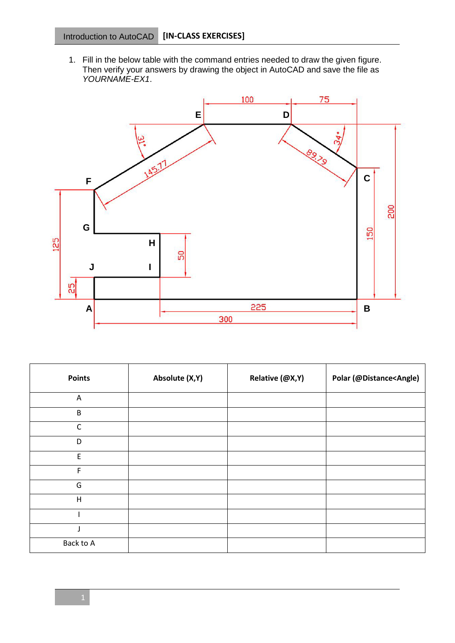1. Fill in the below table with the command entries needed to draw the given figure. Then verify your answers by drawing the object in AutoCAD and save the file as *YOURNAME-EX1*.



| <b>Points</b> | Absolute (X,Y) | Relative (@X,Y) | Polar (@Distance <angle)< th=""></angle)<> |
|---------------|----------------|-----------------|--------------------------------------------|
| $\mathsf{A}$  |                |                 |                                            |
| $\sf B$       |                |                 |                                            |
| $\mathsf{C}$  |                |                 |                                            |
| D             |                |                 |                                            |
| $\mathsf E$   |                |                 |                                            |
| F             |                |                 |                                            |
| G             |                |                 |                                            |
| H             |                |                 |                                            |
|               |                |                 |                                            |
|               |                |                 |                                            |
| Back to A     |                |                 |                                            |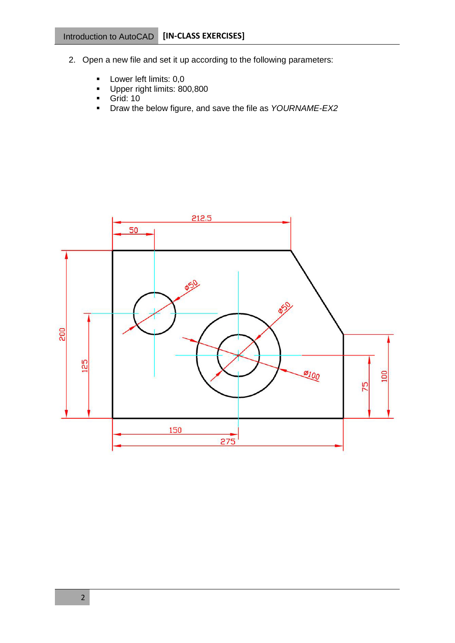- 2. Open a new file and set it up according to the following parameters:
	- Lower left limits: 0,0<br>Lloper right limits: 80
	- Upper right limits: 800,800
	- $\overline{\phantom{a}}$  Grid: 10
	- Draw the below figure, and save the file as *YOURNAME-EX2*

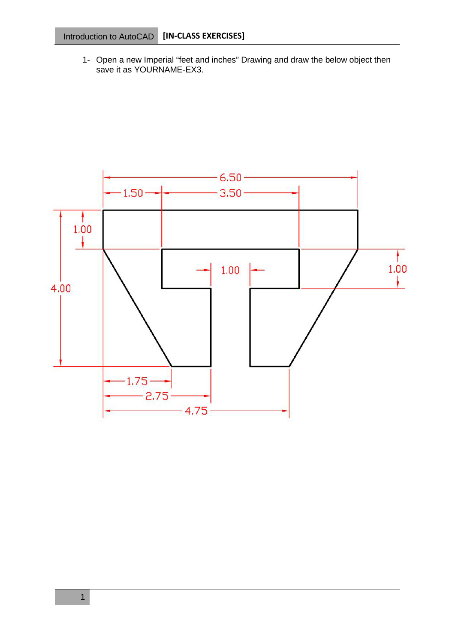1- Open a new Imperial "feet and inches" Drawing and draw the below object then save it as YOURNAME-EX3.

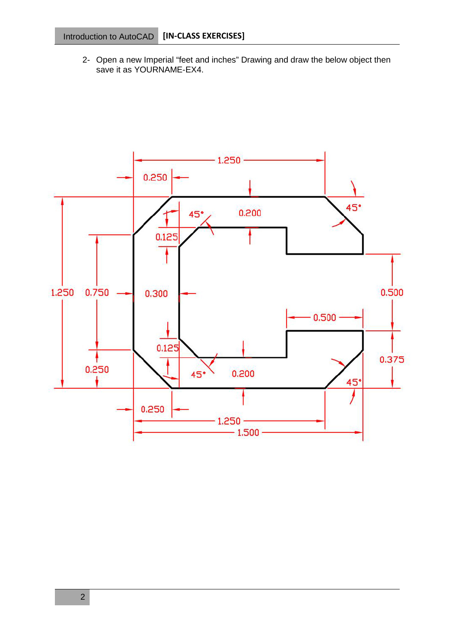2- Open a new Imperial "feet and inches" Drawing and draw the below object then save it as YOURNAME-EX4.

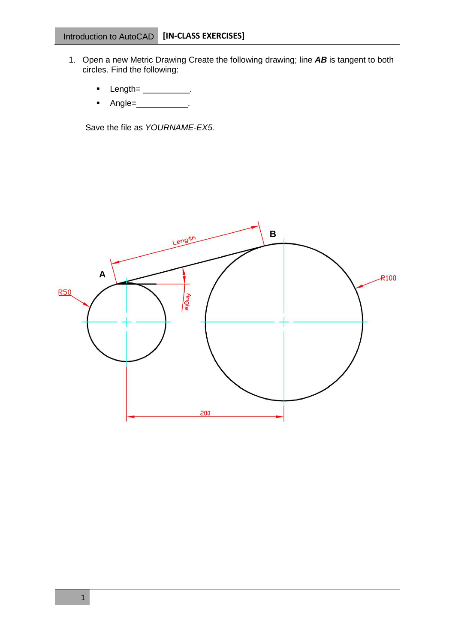- 1. Open a new Metric Drawing Create the following drawing; line *AB* is tangent to both circles. Find the following:
	- Length= \_\_\_\_\_\_\_\_\_\_.
	- Angle=\_\_\_\_\_\_\_\_\_\_\_.

Save the file as *YOURNAME-EX5.*